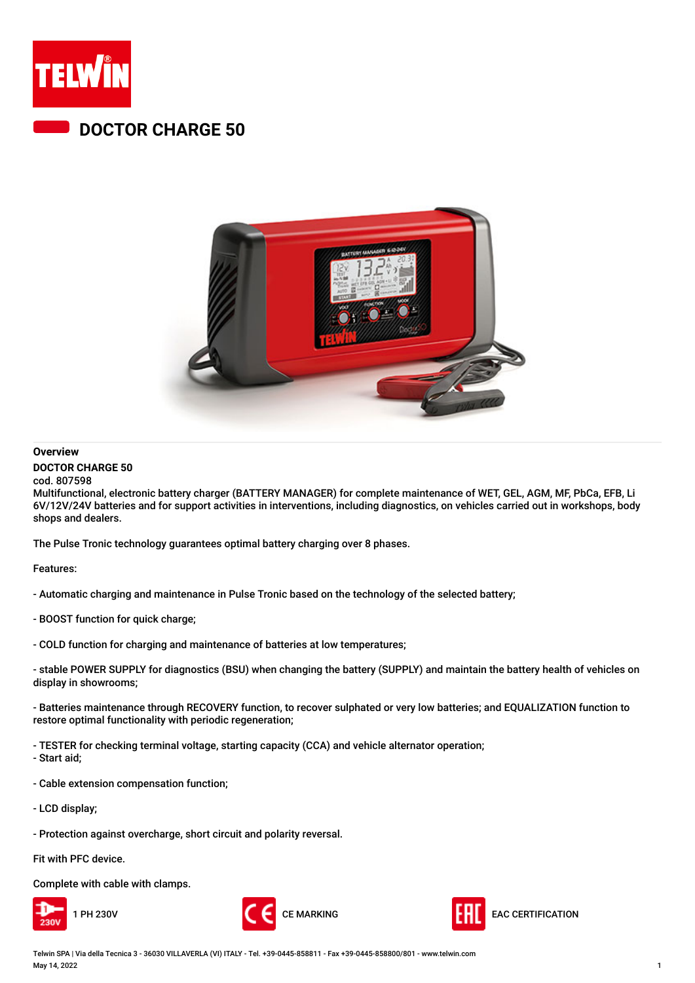

## **DOCTOR CHARGE 50**



### **Overview**

#### **DOCTOR CHARGE 50**

cod. 807598 Multifunctional, electronic battery charger (BATTERY MANAGER) for complete maintenance of WET, GEL, AGM, MF, PbCa, EFB, Li 6V/12V/24V batteries and for support activities in interventions, including diagnostics, on vehicles carried out in workshops, body shops and dealers.

The Pulse Tronic technology guarantees optimal battery charging over 8 phases.

Features:

- Automatic charging and maintenance in Pulse Tronic based on the technology of the selected battery;

- BOOST function for quick charge;
- COLD function for charging and maintenance of batteries at low temperatures;

- stable POWER SUPPLY for diagnostics (BSU) when changing the battery (SUPPLY) and maintain the battery health of vehicles on display in showrooms;

- Batteries maintenance through RECOVERY function, to recover sulphated or very low batteries; and EQUALIZATION function to restore optimal functionality with periodic regeneration;

- TESTER for checking terminal voltage, starting capacity (CCA) and vehicle alternator operation;

- Start aid;
- Cable extension compensation function;
- LCD display;
- Protection against overcharge, short circuit and polarity reversal.

Fit with PFC device.

Complete with cable with clamps.